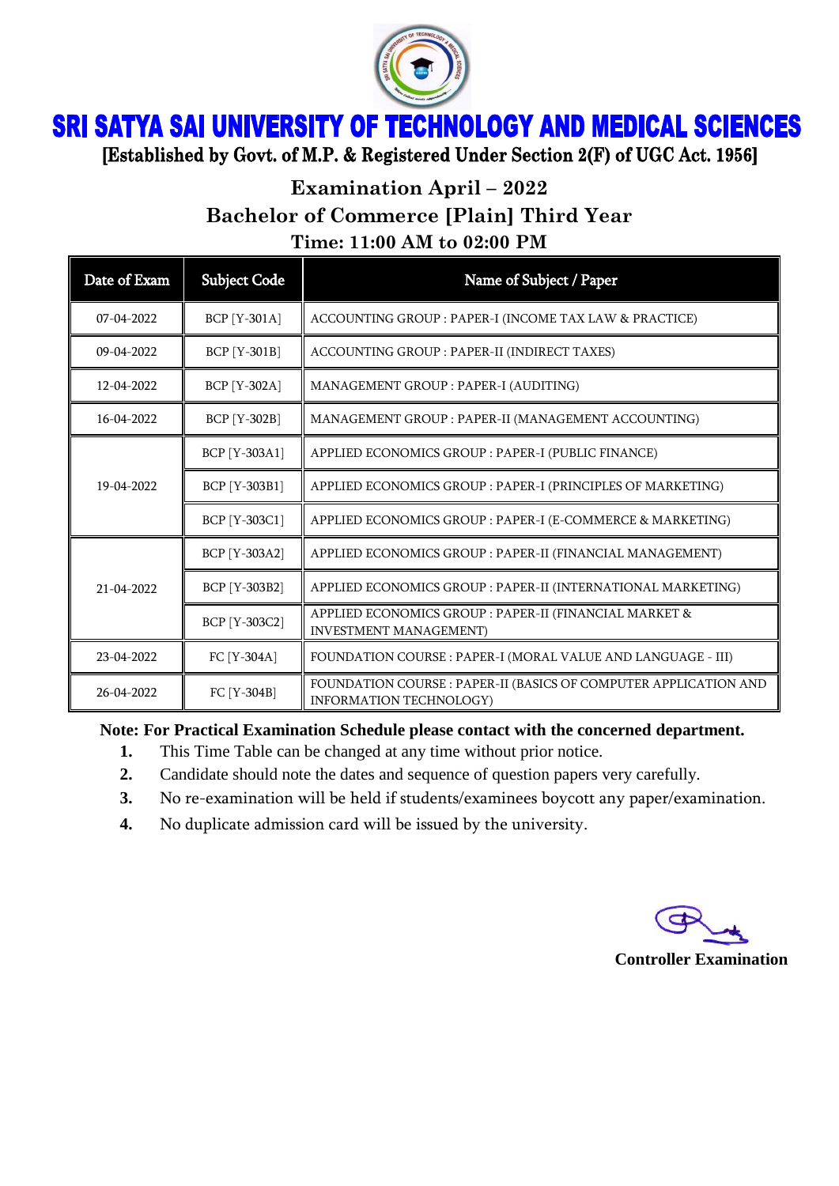

# **SRI SATYA SAI UNIVERSITY OF TECHNOLOGY AND MEDICAL SCIENCES**

[Established by Govt. of M.P. & Registered Under Section 2(F) of UGC Act. 1956]

## **Examination April – 2022 Bachelor of Commerce [Plain] Third Year Time: 11:00 AM to 02:00 PM**

| Date of Exam     | <b>Subject Code</b> | Name of Subject / Paper                                                                            |
|------------------|---------------------|----------------------------------------------------------------------------------------------------|
| $07 - 04 - 2022$ | <b>BCP</b> [Y-301A] | ACCOUNTING GROUP : PAPER-I (INCOME TAX LAW & PRACTICE)                                             |
| $09 - 04 - 2022$ | <b>BCP</b> [Y-301B] | ACCOUNTING GROUP : PAPER-II (INDIRECT TAXES)                                                       |
| 12-04-2022       | <b>BCP</b> [Y-302A] | MANAGEMENT GROUP : PAPER-I (AUDITING)                                                              |
| 16-04-2022       | <b>BCP</b> [Y-302B] | MANAGEMENT GROUP : PAPER-II (MANAGEMENT ACCOUNTING)                                                |
| 19-04-2022       | BCP [Y-303A1]       | APPLIED ECONOMICS GROUP : PAPER-I (PUBLIC FINANCE)                                                 |
|                  | BCP [Y-303B1]       | APPLIED ECONOMICS GROUP : PAPER-I (PRINCIPLES OF MARKETING)                                        |
|                  | BCP [Y-303C1]       | APPLIED ECONOMICS GROUP : PAPER-I (E-COMMERCE & MARKETING)                                         |
| 21-04-2022       | BCP [Y-303A2]       | APPLIED ECONOMICS GROUP : PAPER-II (FINANCIAL MANAGEMENT)                                          |
|                  | BCP [Y-303B2]       | APPLIED ECONOMICS GROUP : PAPER-II (INTERNATIONAL MARKETING)                                       |
|                  | BCP [Y-303C2]       | APPLIED ECONOMICS GROUP : PAPER-II (FINANCIAL MARKET &<br><b>INVESTMENT MANAGEMENT)</b>            |
| 23-04-2022       | FC [Y-304A]         | FOUNDATION COURSE : PAPER-I (MORAL VALUE AND LANGUAGE - III)                                       |
| 26-04-2022       | FC [Y-304B]         | FOUNDATION COURSE : PAPER-II (BASICS OF COMPUTER APPLICATION AND<br><b>INFORMATION TECHNOLOGY)</b> |

#### **Note: For Practical Examination Schedule please contact with the concerned department.**

- **1.** This Time Table can be changed at any time without prior notice.
- **2.** Candidate should note the dates and sequence of question papers very carefully.
- **3.** No re-examination will be held if students/examinees boycott any paper/examination.
- **4.** No duplicate admission card will be issued by the university.